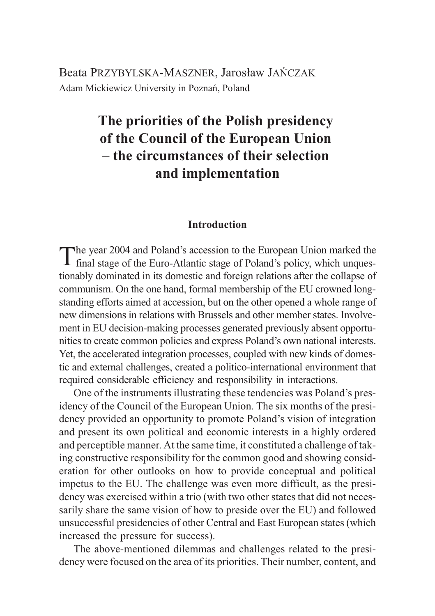Beata PRZYBYLSKA-MASZNER, Jarosław JAŃCZAK Adam Mickiewicz University in Poznañ, Poland

# **The priorities of the Polish presidency of the Council of the European Union – the circumstances of their selection and implementation**

### **Introduction**

The year 2004 and Poland's accession to the European Union marked the **f** final stage of the Euro-Atlantic stage of Poland's policy, which unquestionably dominated in its domestic and foreign relations after the collapse of communism. On the one hand, formal membership of the EU crowned longstanding efforts aimed at accession, but on the other opened a whole range of new dimensions in relations with Brussels and other member states. Involvement in EU decision-making processes generated previously absent opportunities to create common policies and express Poland's own national interests. Yet, the accelerated integration processes, coupled with new kinds of domestic and external challenges, created a politico-international environment that required considerable efficiency and responsibility in interactions.

One of the instruments illustrating these tendencies was Poland's presidency of the Council of the European Union. The six months of the presidency provided an opportunity to promote Poland's vision of integration and present its own political and economic interests in a highly ordered and perceptible manner. At the same time, it constituted a challenge of taking constructive responsibility for the common good and showing consideration for other outlooks on how to provide conceptual and political impetus to the EU. The challenge was even more difficult, as the presidency was exercised within a trio (with two other states that did not necessarily share the same vision of how to preside over the EU) and followed unsuccessful presidencies of other Central and East European states (which increased the pressure for success).

The above-mentioned dilemmas and challenges related to the presidency were focused on the area of its priorities. Their number, content, and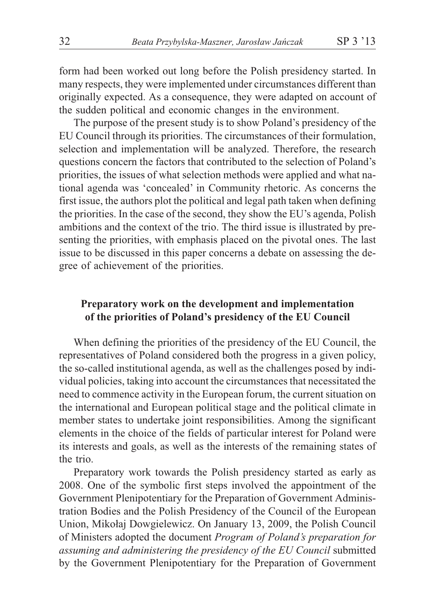form had been worked out long before the Polish presidency started. In many respects, they were implemented under circumstances different than originally expected. As a consequence, they were adapted on account of the sudden political and economic changes in the environment.

The purpose of the present study is to show Poland's presidency of the EU Council through its priorities. The circumstances of their formulation, selection and implementation will be analyzed. Therefore, the research questions concern the factors that contributed to the selection of Poland's priorities, the issues of what selection methods were applied and what national agenda was 'concealed' in Community rhetoric. As concerns the first issue, the authors plot the political and legal path taken when defining the priorities. In the case of the second, they show the EU's agenda, Polish ambitions and the context of the trio. The third issue is illustrated by presenting the priorities, with emphasis placed on the pivotal ones. The last issue to be discussed in this paper concerns a debate on assessing the degree of achievement of the priorities.

## **Preparatory work on the development and implementation of the priorities of Poland's presidency of the EU Council**

When defining the priorities of the presidency of the EU Council, the representatives of Poland considered both the progress in a given policy, the so-called institutional agenda, as well as the challenges posed by individual policies, taking into account the circumstances that necessitated the need to commence activity in the European forum, the current situation on the international and European political stage and the political climate in member states to undertake joint responsibilities. Among the significant elements in the choice of the fields of particular interest for Poland were its interests and goals, as well as the interests of the remaining states of the trio.

Preparatory work towards the Polish presidency started as early as 2008. One of the symbolic first steps involved the appointment of the Government Plenipotentiary for the Preparation of Government Administration Bodies and the Polish Presidency of the Council of the European Union, Mikołaj Dowgielewicz. On January 13, 2009, the Polish Council of Ministers adopted the document *Program of Poland's preparation for assuming and administering the presidency of the EU Council* submitted by the Government Plenipotentiary for the Preparation of Government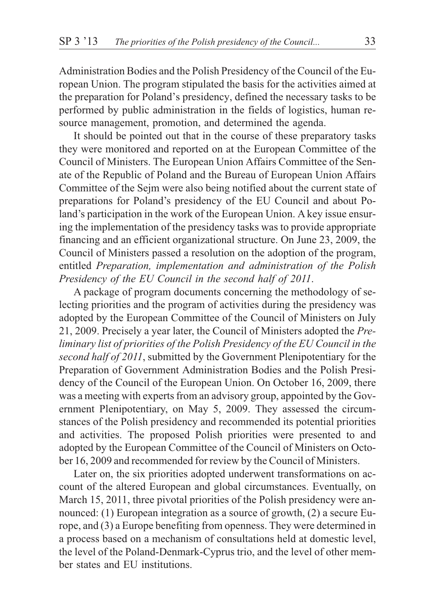Administration Bodies and the Polish Presidency of the Council of the European Union. The program stipulated the basis for the activities aimed at the preparation for Poland's presidency, defined the necessary tasks to be performed by public administration in the fields of logistics, human resource management, promotion, and determined the agenda.

It should be pointed out that in the course of these preparatory tasks they were monitored and reported on at the European Committee of the Council of Ministers. The European Union Affairs Committee of the Senate of the Republic of Poland and the Bureau of European Union Affairs Committee of the Sejm were also being notified about the current state of preparations for Poland's presidency of the EU Council and about Poland's participation in the work of the European Union. A key issue ensuring the implementation of the presidency tasks was to provide appropriate financing and an efficient organizational structure. On June 23, 2009, the Council of Ministers passed a resolution on the adoption of the program, entitled *Preparation, implementation and administration of the Polish Presidency of the EU Council in the second half of 2011*.

A package of program documents concerning the methodology of selecting priorities and the program of activities during the presidency was adopted by the European Committee of the Council of Ministers on July 21, 2009. Precisely a year later, the Council of Ministers adopted the *Preliminary list of priorities of the Polish Presidency of the EU Council in the second half of 2011*, submitted by the Government Plenipotentiary for the Preparation of Government Administration Bodies and the Polish Presidency of the Council of the European Union. On October 16, 2009, there was a meeting with experts from an advisory group, appointed by the Government Plenipotentiary, on May 5, 2009. They assessed the circumstances of the Polish presidency and recommended its potential priorities and activities. The proposed Polish priorities were presented to and adopted by the European Committee of the Council of Ministers on October 16, 2009 and recommended for review by the Council of Ministers.

Later on, the six priorities adopted underwent transformations on account of the altered European and global circumstances. Eventually, on March 15, 2011, three pivotal priorities of the Polish presidency were announced: (1) European integration as a source of growth, (2) a secure Europe, and (3) a Europe benefiting from openness. They were determined in a process based on a mechanism of consultations held at domestic level, the level of the Poland-Denmark-Cyprus trio, and the level of other member states and EU institutions.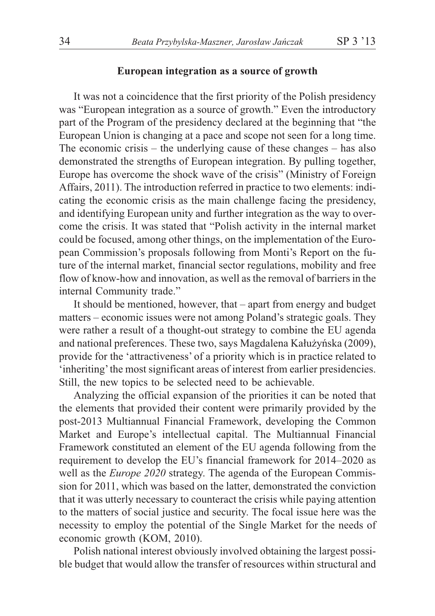#### **European integration as a source of growth**

It was not a coincidence that the first priority of the Polish presidency was "European integration as a source of growth." Even the introductory part of the Program of the presidency declared at the beginning that "the European Union is changing at a pace and scope not seen for a long time. The economic crisis – the underlying cause of these changes – has also demonstrated the strengths of European integration. By pulling together, Europe has overcome the shock wave of the crisis" (Ministry of Foreign Affairs, 2011). The introduction referred in practice to two elements: indicating the economic crisis as the main challenge facing the presidency, and identifying European unity and further integration as the way to overcome the crisis. It was stated that "Polish activity in the internal market could be focused, among other things, on the implementation of the European Commission's proposals following from Monti's Report on the future of the internal market, financial sector regulations, mobility and free flow of know-how and innovation, as well as the removal of barriers in the internal Community trade."

It should be mentioned, however, that – apart from energy and budget matters – economic issues were not among Poland's strategic goals. They were rather a result of a thought-out strategy to combine the EU agenda and national preferences. These two, says Magdalena Kałużyńska (2009), provide for the 'attractiveness' of a priority which is in practice related to 'inheriting'the most significant areas of interest from earlier presidencies. Still, the new topics to be selected need to be achievable.

Analyzing the official expansion of the priorities it can be noted that the elements that provided their content were primarily provided by the post-2013 Multiannual Financial Framework, developing the Common Market and Europe's intellectual capital. The Multiannual Financial Framework constituted an element of the EU agenda following from the requirement to develop the EU's financial framework for 2014–2020 as well as the *Europe 2020* strategy. The agenda of the European Commission for 2011, which was based on the latter, demonstrated the conviction that it was utterly necessary to counteract the crisis while paying attention to the matters of social justice and security. The focal issue here was the necessity to employ the potential of the Single Market for the needs of economic growth (KOM, 2010).

Polish national interest obviously involved obtaining the largest possible budget that would allow the transfer of resources within structural and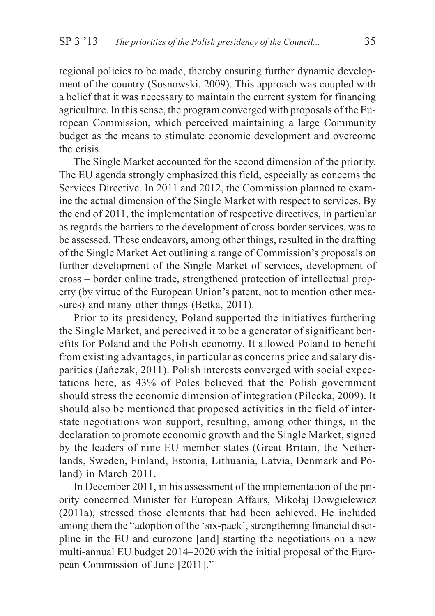regional policies to be made, thereby ensuring further dynamic development of the country (Sosnowski, 2009). This approach was coupled with a belief that it was necessary to maintain the current system for financing agriculture. In this sense, the program converged with proposals of the European Commission, which perceived maintaining a large Community budget as the means to stimulate economic development and overcome the crisis.

The Single Market accounted for the second dimension of the priority. The EU agenda strongly emphasized this field, especially as concerns the Services Directive. In 2011 and 2012, the Commission planned to examine the actual dimension of the Single Market with respect to services. By the end of 2011, the implementation of respective directives, in particular as regards the barriers to the development of cross-border services, was to be assessed. These endeavors, among other things, resulted in the drafting of the Single Market Act outlining a range of Commission's proposals on further development of the Single Market of services, development of cross – border online trade, strengthened protection of intellectual property (by virtue of the European Union's patent, not to mention other measures) and many other things (Betka, 2011).

Prior to its presidency, Poland supported the initiatives furthering the Single Market, and perceived it to be a generator of significant benefits for Poland and the Polish economy. It allowed Poland to benefit from existing advantages, in particular as concerns price and salary disparities (Jañczak, 2011). Polish interests converged with social expectations here, as 43% of Poles believed that the Polish government should stress the economic dimension of integration (Pilecka, 2009). It should also be mentioned that proposed activities in the field of interstate negotiations won support, resulting, among other things, in the declaration to promote economic growth and the Single Market, signed by the leaders of nine EU member states (Great Britain, the Netherlands, Sweden, Finland, Estonia, Lithuania, Latvia, Denmark and Poland) in March 2011.

In December 2011, in his assessment of the implementation of the priority concerned Minister for European Affairs, Mikołaj Dowgielewicz (2011a), stressed those elements that had been achieved. He included among them the "adoption of the 'six-pack', strengthening financial discipline in the EU and eurozone [and] starting the negotiations on a new multi-annual EU budget 2014–2020 with the initial proposal of the European Commission of June [2011]."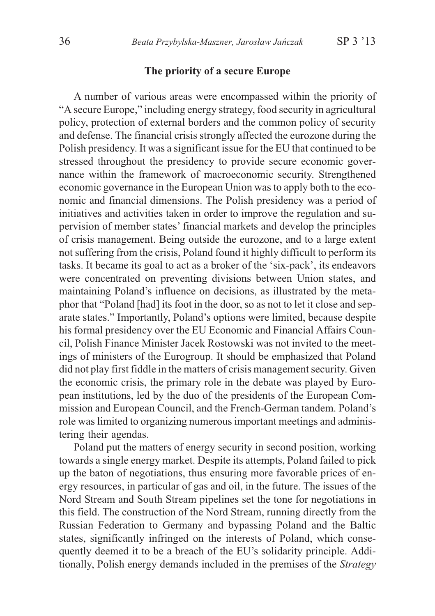#### **The priority of a secure Europe**

A number of various areas were encompassed within the priority of "A secure Europe," including energy strategy, food security in agricultural policy, protection of external borders and the common policy of security and defense. The financial crisis strongly affected the eurozone during the Polish presidency. It was a significant issue for the EU that continued to be stressed throughout the presidency to provide secure economic governance within the framework of macroeconomic security. Strengthened economic governance in the European Union was to apply both to the economic and financial dimensions. The Polish presidency was a period of initiatives and activities taken in order to improve the regulation and supervision of member states' financial markets and develop the principles of crisis management. Being outside the eurozone, and to a large extent not suffering from the crisis, Poland found it highly difficult to perform its tasks. It became its goal to act as a broker of the 'six-pack', its endeavors were concentrated on preventing divisions between Union states, and maintaining Poland's influence on decisions, as illustrated by the metaphor that "Poland [had] its foot in the door, so as not to let it close and separate states." Importantly, Poland's options were limited, because despite his formal presidency over the EU Economic and Financial Affairs Council, Polish Finance Minister Jacek Rostowski was not invited to the meetings of ministers of the Eurogroup. It should be emphasized that Poland did not play first fiddle in the matters of crisis management security. Given the economic crisis, the primary role in the debate was played by European institutions, led by the duo of the presidents of the European Commission and European Council, and the French-German tandem. Poland's role was limited to organizing numerous important meetings and administering their agendas.

Poland put the matters of energy security in second position, working towards a single energy market. Despite its attempts, Poland failed to pick up the baton of negotiations, thus ensuring more favorable prices of energy resources, in particular of gas and oil, in the future. The issues of the Nord Stream and South Stream pipelines set the tone for negotiations in this field. The construction of the Nord Stream, running directly from the Russian Federation to Germany and bypassing Poland and the Baltic states, significantly infringed on the interests of Poland, which consequently deemed it to be a breach of the EU's solidarity principle. Additionally, Polish energy demands included in the premises of the *Strategy*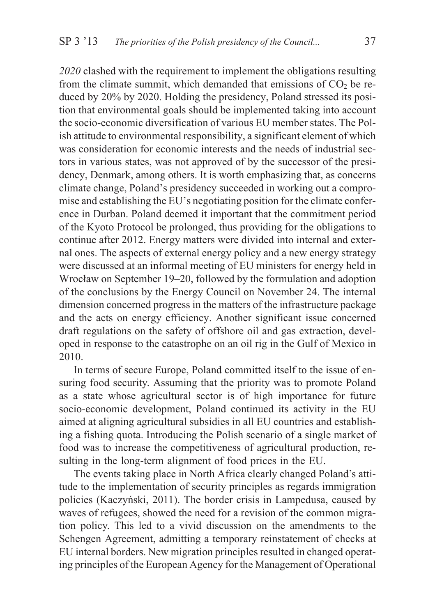*2020* clashed with the requirement to implement the obligations resulting from the climate summit, which demanded that emissions of  $CO<sub>2</sub>$  be reduced by 20% by 2020. Holding the presidency, Poland stressed its position that environmental goals should be implemented taking into account the socio-economic diversification of various EU member states. The Polish attitude to environmental responsibility, a significant element of which was consideration for economic interests and the needs of industrial sectors in various states, was not approved of by the successor of the presidency, Denmark, among others. It is worth emphasizing that, as concerns climate change, Poland's presidency succeeded in working out a compromise and establishing the EU's negotiating position for the climate conference in Durban. Poland deemed it important that the commitment period of the Kyoto Protocol be prolonged, thus providing for the obligations to continue after 2012. Energy matters were divided into internal and external ones. The aspects of external energy policy and a new energy strategy were discussed at an informal meeting of EU ministers for energy held in Wrocław on September 19–20, followed by the formulation and adoption of the conclusions by the Energy Council on November 24. The internal dimension concerned progress in the matters of the infrastructure package and the acts on energy efficiency. Another significant issue concerned draft regulations on the safety of offshore oil and gas extraction, developed in response to the catastrophe on an oil rig in the Gulf of Mexico in 2010.

In terms of secure Europe, Poland committed itself to the issue of ensuring food security. Assuming that the priority was to promote Poland as a state whose agricultural sector is of high importance for future socio-economic development, Poland continued its activity in the EU aimed at aligning agricultural subsidies in all EU countries and establishing a fishing quota. Introducing the Polish scenario of a single market of food was to increase the competitiveness of agricultural production, resulting in the long-term alignment of food prices in the EU.

The events taking place in North Africa clearly changed Poland's attitude to the implementation of security principles as regards immigration policies (Kaczyñski, 2011). The border crisis in Lampedusa, caused by waves of refugees, showed the need for a revision of the common migration policy. This led to a vivid discussion on the amendments to the Schengen Agreement, admitting a temporary reinstatement of checks at EU internal borders. New migration principles resulted in changed operating principles of the European Agency for the Management of Operational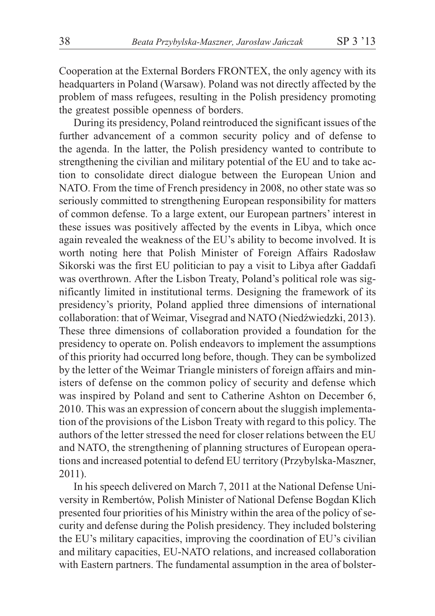Cooperation at the External Borders FRONTEX, the only agency with its headquarters in Poland (Warsaw). Poland was not directly affected by the problem of mass refugees, resulting in the Polish presidency promoting the greatest possible openness of borders.

During its presidency, Poland reintroduced the significant issues of the further advancement of a common security policy and of defense to the agenda. In the latter, the Polish presidency wanted to contribute to strengthening the civilian and military potential of the EU and to take action to consolidate direct dialogue between the European Union and NATO. From the time of French presidency in 2008, no other state was so seriously committed to strengthening European responsibility for matters of common defense. To a large extent, our European partners' interest in these issues was positively affected by the events in Libya, which once again revealed the weakness of the EU's ability to become involved. It is worth noting here that Polish Minister of Foreign Affairs Radosław Sikorski was the first EU politician to pay a visit to Libya after Gaddafi was overthrown. After the Lisbon Treaty, Poland's political role was significantly limited in institutional terms. Designing the framework of its presidency's priority, Poland applied three dimensions of international collaboration: that of Weimar, Visegrad and NATO (Niedźwiedzki, 2013). These three dimensions of collaboration provided a foundation for the presidency to operate on. Polish endeavors to implement the assumptions of this priority had occurred long before, though. They can be symbolized by the letter of the Weimar Triangle ministers of foreign affairs and ministers of defense on the common policy of security and defense which was inspired by Poland and sent to Catherine Ashton on December 6, 2010. This was an expression of concern about the sluggish implementation of the provisions of the Lisbon Treaty with regard to this policy. The authors of the letter stressed the need for closer relations between the EU and NATO, the strengthening of planning structures of European operations and increased potential to defend EU territory (Przybylska-Maszner, 2011).

In his speech delivered on March 7, 2011 at the National Defense University in Rembertów, Polish Minister of National Defense Bogdan Klich presented four priorities of his Ministry within the area of the policy of security and defense during the Polish presidency. They included bolstering the EU's military capacities, improving the coordination of EU's civilian and military capacities, EU-NATO relations, and increased collaboration with Eastern partners. The fundamental assumption in the area of bolster-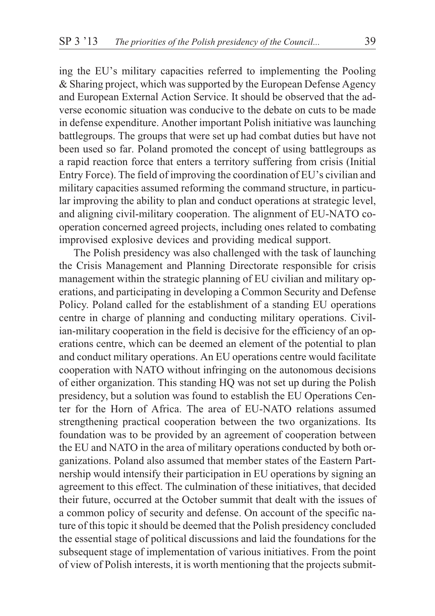ing the EU's military capacities referred to implementing the Pooling & Sharing project, which was supported by the European Defense Agency and European External Action Service. It should be observed that the adverse economic situation was conducive to the debate on cuts to be made in defense expenditure. Another important Polish initiative was launching battlegroups. The groups that were set up had combat duties but have not been used so far. Poland promoted the concept of using battlegroups as a rapid reaction force that enters a territory suffering from crisis (Initial Entry Force). The field of improving the coordination of EU's civilian and military capacities assumed reforming the command structure, in particular improving the ability to plan and conduct operations at strategic level, and aligning civil-military cooperation. The alignment of EU-NATO cooperation concerned agreed projects, including ones related to combating improvised explosive devices and providing medical support.

The Polish presidency was also challenged with the task of launching the Crisis Management and Planning Directorate responsible for crisis management within the strategic planning of EU civilian and military operations, and participating in developing a Common Security and Defense Policy. Poland called for the establishment of a standing EU operations centre in charge of planning and conducting military operations. Civilian-military cooperation in the field is decisive for the efficiency of an operations centre, which can be deemed an element of the potential to plan and conduct military operations. An EU operations centre would facilitate cooperation with NATO without infringing on the autonomous decisions of either organization. This standing HQ was not set up during the Polish presidency, but a solution was found to establish the EU Operations Center for the Horn of Africa. The area of EU-NATO relations assumed strengthening practical cooperation between the two organizations. Its foundation was to be provided by an agreement of cooperation between the EU and NATO in the area of military operations conducted by both organizations. Poland also assumed that member states of the Eastern Partnership would intensify their participation in EU operations by signing an agreement to this effect. The culmination of these initiatives, that decided their future, occurred at the October summit that dealt with the issues of a common policy of security and defense. On account of the specific nature of this topic it should be deemed that the Polish presidency concluded the essential stage of political discussions and laid the foundations for the subsequent stage of implementation of various initiatives. From the point of view of Polish interests, it is worth mentioning that the projects submit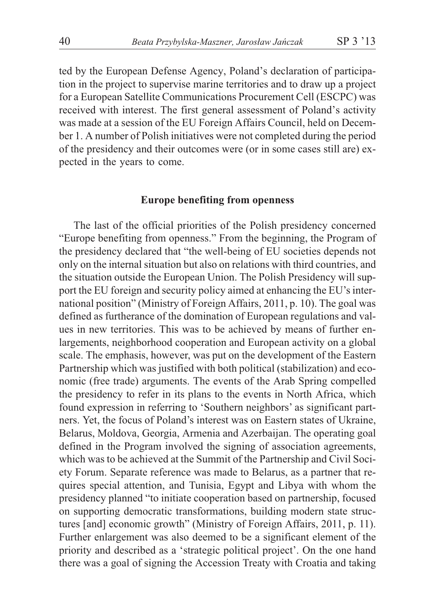ted by the European Defense Agency, Poland's declaration of participation in the project to supervise marine territories and to draw up a project for a European Satellite Communications Procurement Cell (ESCPC) was received with interest. The first general assessment of Poland's activity was made at a session of the EU Foreign Affairs Council, held on December 1. A number of Polish initiatives were not completed during the period of the presidency and their outcomes were (or in some cases still are) expected in the years to come.

#### **Europe benefiting from openness**

The last of the official priorities of the Polish presidency concerned "Europe benefiting from openness." From the beginning, the Program of the presidency declared that "the well-being of EU societies depends not only on the internal situation but also on relations with third countries, and the situation outside the European Union. The Polish Presidency will support the EU foreign and security policy aimed at enhancing the EU's international position" (Ministry of Foreign Affairs, 2011, p. 10). The goal was defined as furtherance of the domination of European regulations and values in new territories. This was to be achieved by means of further enlargements, neighborhood cooperation and European activity on a global scale. The emphasis, however, was put on the development of the Eastern Partnership which was justified with both political (stabilization) and economic (free trade) arguments. The events of the Arab Spring compelled the presidency to refer in its plans to the events in North Africa, which found expression in referring to 'Southern neighbors' as significant partners. Yet, the focus of Poland's interest was on Eastern states of Ukraine, Belarus, Moldova, Georgia, Armenia and Azerbaijan. The operating goal defined in the Program involved the signing of association agreements, which was to be achieved at the Summit of the Partnership and Civil Society Forum. Separate reference was made to Belarus, as a partner that requires special attention, and Tunisia, Egypt and Libya with whom the presidency planned "to initiate cooperation based on partnership, focused on supporting democratic transformations, building modern state structures [and] economic growth" (Ministry of Foreign Affairs, 2011, p. 11). Further enlargement was also deemed to be a significant element of the priority and described as a 'strategic political project'. On the one hand there was a goal of signing the Accession Treaty with Croatia and taking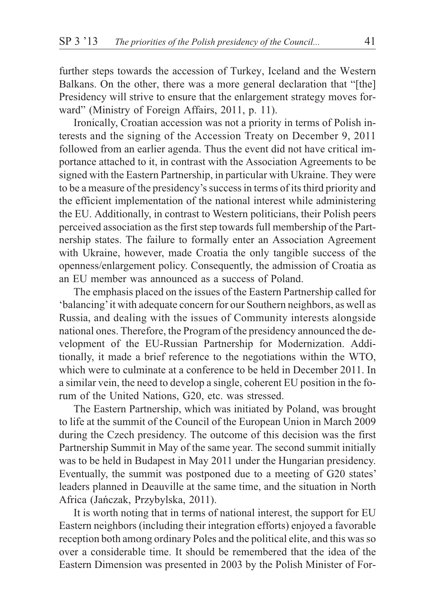further steps towards the accession of Turkey, Iceland and the Western Balkans. On the other, there was a more general declaration that "[the] Presidency will strive to ensure that the enlargement strategy moves forward" (Ministry of Foreign Affairs, 2011, p. 11).

Ironically, Croatian accession was not a priority in terms of Polish interests and the signing of the Accession Treaty on December 9, 2011 followed from an earlier agenda. Thus the event did not have critical importance attached to it, in contrast with the Association Agreements to be signed with the Eastern Partnership, in particular with Ukraine. They were to be a measure of the presidency's success in terms of its third priority and the efficient implementation of the national interest while administering the EU. Additionally, in contrast to Western politicians, their Polish peers perceived association as the first step towards full membership of the Partnership states. The failure to formally enter an Association Agreement with Ukraine, however, made Croatia the only tangible success of the openness/enlargement policy. Consequently, the admission of Croatia as an EU member was announced as a success of Poland.

The emphasis placed on the issues of the Eastern Partnership called for 'balancing'it with adequate concern for our Southern neighbors, as well as Russia, and dealing with the issues of Community interests alongside national ones. Therefore, the Program of the presidency announced the development of the EU-Russian Partnership for Modernization. Additionally, it made a brief reference to the negotiations within the WTO, which were to culminate at a conference to be held in December 2011. In a similar vein, the need to develop a single, coherent EU position in the forum of the United Nations, G20, etc. was stressed.

The Eastern Partnership, which was initiated by Poland, was brought to life at the summit of the Council of the European Union in March 2009 during the Czech presidency. The outcome of this decision was the first Partnership Summit in May of the same year. The second summit initially was to be held in Budapest in May 2011 under the Hungarian presidency. Eventually, the summit was postponed due to a meeting of G20 states' leaders planned in Deauville at the same time, and the situation in North Africa (Jañczak, Przybylska, 2011).

It is worth noting that in terms of national interest, the support for EU Eastern neighbors (including their integration efforts) enjoyed a favorable reception both among ordinary Poles and the political elite, and this was so over a considerable time. It should be remembered that the idea of the Eastern Dimension was presented in 2003 by the Polish Minister of For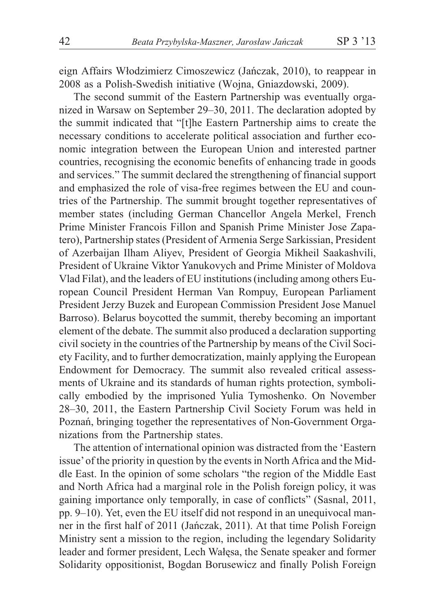eign Affairs Włodzimierz Cimoszewicz (Jańczak, 2010), to reappear in 2008 as a Polish-Swedish initiative (Wojna, Gniazdowski, 2009).

The second summit of the Eastern Partnership was eventually organized in Warsaw on September 29–30, 2011. The declaration adopted by the summit indicated that "[t]he Eastern Partnership aims to create the necessary conditions to accelerate political association and further economic integration between the European Union and interested partner countries, recognising the economic benefits of enhancing trade in goods and services." The summit declared the strengthening of financial support and emphasized the role of visa-free regimes between the EU and countries of the Partnership. The summit brought together representatives of member states (including German Chancellor Angela Merkel, French Prime Minister Francois Fillon and Spanish Prime Minister Jose Zapatero), Partnership states (President of Armenia Serge Sarkissian, President of Azerbaijan Ilham Aliyev, President of Georgia Mikheil Saakashvili, President of Ukraine Viktor Yanukovych and Prime Minister of Moldova Vlad Filat), and the leaders of EU institutions (including among others European Council President Herman Van Rompuy, European Parliament President Jerzy Buzek and European Commission President Jose Manuel Barroso). Belarus boycotted the summit, thereby becoming an important element of the debate. The summit also produced a declaration supporting civil society in the countries of the Partnership by means of the Civil Society Facility, and to further democratization, mainly applying the European Endowment for Democracy. The summit also revealed critical assessments of Ukraine and its standards of human rights protection, symbolically embodied by the imprisoned Yulia Tymoshenko. On November 28–30, 2011, the Eastern Partnership Civil Society Forum was held in Poznañ, bringing together the representatives of Non-Government Organizations from the Partnership states.

The attention of international opinion was distracted from the 'Eastern issue'of the priority in question by the events in North Africa and the Middle East. In the opinion of some scholars "the region of the Middle East and North Africa had a marginal role in the Polish foreign policy, it was gaining importance only temporally, in case of conflicts" (Sasnal, 2011, pp. 9–10). Yet, even the EU itself did not respond in an unequivocal manner in the first half of 2011 (Jañczak, 2011). At that time Polish Foreign Ministry sent a mission to the region, including the legendary Solidarity leader and former president, Lech Wałęsa, the Senate speaker and former Solidarity oppositionist, Bogdan Borusewicz and finally Polish Foreign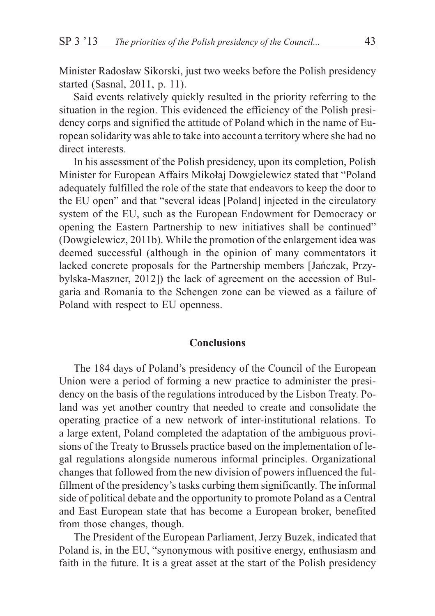Minister Radosław Sikorski, just two weeks before the Polish presidency started (Sasnal, 2011, p. 11).

Said events relatively quickly resulted in the priority referring to the situation in the region. This evidenced the efficiency of the Polish presidency corps and signified the attitude of Poland which in the name of European solidarity was able to take into account a territory where she had no direct interests.

In his assessment of the Polish presidency, upon its completion, Polish Minister for European Affairs Mikołaj Dowgielewicz stated that "Poland" adequately fulfilled the role of the state that endeavors to keep the door to the EU open" and that "several ideas [Poland] injected in the circulatory system of the EU, such as the European Endowment for Democracy or opening the Eastern Partnership to new initiatives shall be continued" (Dowgielewicz, 2011b). While the promotion of the enlargement idea was deemed successful (although in the opinion of many commentators it lacked concrete proposals for the Partnership members [Jañczak, Przybylska-Maszner, 2012]) the lack of agreement on the accession of Bulgaria and Romania to the Schengen zone can be viewed as a failure of Poland with respect to EU openness.

#### **Conclusions**

The 184 days of Poland's presidency of the Council of the European Union were a period of forming a new practice to administer the presidency on the basis of the regulations introduced by the Lisbon Treaty. Poland was yet another country that needed to create and consolidate the operating practice of a new network of inter-institutional relations. To a large extent, Poland completed the adaptation of the ambiguous provisions of the Treaty to Brussels practice based on the implementation of legal regulations alongside numerous informal principles. Organizational changes that followed from the new division of powers influenced the fulfillment of the presidency's tasks curbing them significantly. The informal side of political debate and the opportunity to promote Poland as a Central and East European state that has become a European broker, benefited from those changes, though.

The President of the European Parliament, Jerzy Buzek, indicated that Poland is, in the EU, "synonymous with positive energy, enthusiasm and faith in the future. It is a great asset at the start of the Polish presidency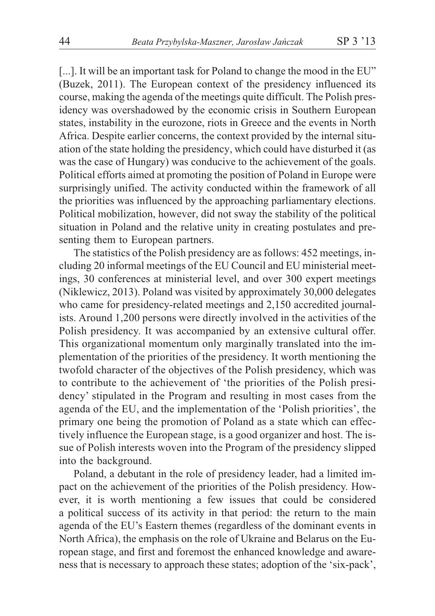[...]. It will be an important task for Poland to change the mood in the EU" (Buzek, 2011). The European context of the presidency influenced its course, making the agenda of the meetings quite difficult. The Polish presidency was overshadowed by the economic crisis in Southern European states, instability in the eurozone, riots in Greece and the events in North Africa. Despite earlier concerns, the context provided by the internal situation of the state holding the presidency, which could have disturbed it (as was the case of Hungary) was conducive to the achievement of the goals. Political efforts aimed at promoting the position of Poland in Europe were surprisingly unified. The activity conducted within the framework of all the priorities was influenced by the approaching parliamentary elections. Political mobilization, however, did not sway the stability of the political situation in Poland and the relative unity in creating postulates and presenting them to European partners.

The statistics of the Polish presidency are as follows: 452 meetings, including 20 informal meetings of the EU Council and EU ministerial meetings, 30 conferences at ministerial level, and over 300 expert meetings (Niklewicz, 2013). Poland was visited by approximately 30,000 delegates who came for presidency-related meetings and 2,150 accredited journalists. Around 1,200 persons were directly involved in the activities of the Polish presidency. It was accompanied by an extensive cultural offer. This organizational momentum only marginally translated into the implementation of the priorities of the presidency. It worth mentioning the twofold character of the objectives of the Polish presidency, which was to contribute to the achievement of 'the priorities of the Polish presidency' stipulated in the Program and resulting in most cases from the agenda of the EU, and the implementation of the 'Polish priorities', the primary one being the promotion of Poland as a state which can effectively influence the European stage, is a good organizer and host. The issue of Polish interests woven into the Program of the presidency slipped into the background.

Poland, a debutant in the role of presidency leader, had a limited impact on the achievement of the priorities of the Polish presidency. However, it is worth mentioning a few issues that could be considered a political success of its activity in that period: the return to the main agenda of the EU's Eastern themes (regardless of the dominant events in North Africa), the emphasis on the role of Ukraine and Belarus on the European stage, and first and foremost the enhanced knowledge and awareness that is necessary to approach these states; adoption of the 'six-pack',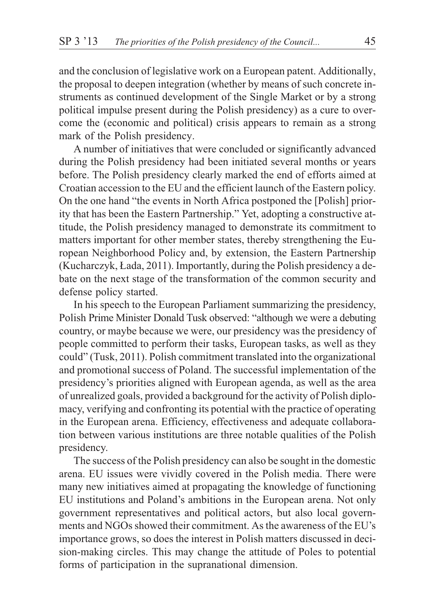and the conclusion of legislative work on a European patent. Additionally, the proposal to deepen integration (whether by means of such concrete instruments as continued development of the Single Market or by a strong political impulse present during the Polish presidency) as a cure to overcome the (economic and political) crisis appears to remain as a strong mark of the Polish presidency.

A number of initiatives that were concluded or significantly advanced during the Polish presidency had been initiated several months or years before. The Polish presidency clearly marked the end of efforts aimed at Croatian accession to the EU and the efficient launch of the Eastern policy. On the one hand "the events in North Africa postponed the [Polish] priority that has been the Eastern Partnership." Yet, adopting a constructive attitude, the Polish presidency managed to demonstrate its commitment to matters important for other member states, thereby strengthening the European Neighborhood Policy and, by extension, the Eastern Partnership (Kucharczyk, £ada, 2011). Importantly, during the Polish presidency a debate on the next stage of the transformation of the common security and defense policy started.

In his speech to the European Parliament summarizing the presidency, Polish Prime Minister Donald Tusk observed: "although we were a debuting country, or maybe because we were, our presidency was the presidency of people committed to perform their tasks, European tasks, as well as they could" (Tusk, 2011). Polish commitment translated into the organizational and promotional success of Poland. The successful implementation of the presidency's priorities aligned with European agenda, as well as the area of unrealized goals, provided a background for the activity of Polish diplomacy, verifying and confronting its potential with the practice of operating in the European arena. Efficiency, effectiveness and adequate collaboration between various institutions are three notable qualities of the Polish presidency.

The success of the Polish presidency can also be sought in the domestic arena. EU issues were vividly covered in the Polish media. There were many new initiatives aimed at propagating the knowledge of functioning EU institutions and Poland's ambitions in the European arena. Not only government representatives and political actors, but also local governments and NGOs showed their commitment. As the awareness of the EU's importance grows, so does the interest in Polish matters discussed in decision-making circles. This may change the attitude of Poles to potential forms of participation in the supranational dimension.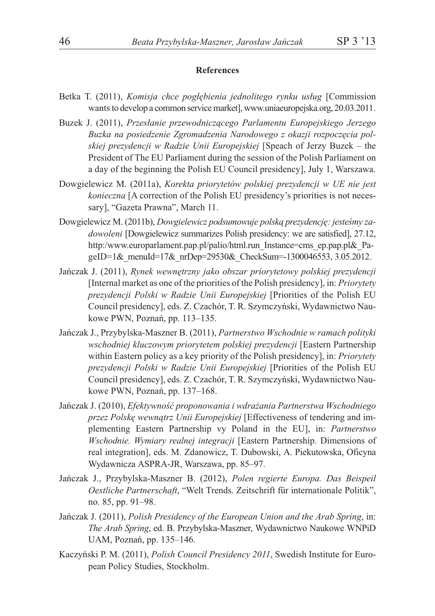#### **References**

- Betka T. (2011), *Komisja chce pogłębienia jednolitego rynku usług* [Commission wants to develop a common service market], www.uniaeuropejska.org, 20.03.2011.
- Buzek J. (2011), *Przesłanie przewodniczącego Parlamentu Europejskiego Jerzego Buzka na posiedzenie Zgromadzenia Narodowego z okazji rozpoczêcia polskiej prezydencji w Radzie Unii Europejskiej* [Speach of Jerzy Buzek – the President of The EU Parliament during the session of the Polish Parliament on a day of the beginning the Polish EU Council presidency], July 1, Warszawa.
- Dowgielewicz M. (2011a), *Korekta priorytetów polskiej prezydencji w UE nie jest konieczna* [A correction of the Polish EU presidency's priorities is not necessary], "Gazeta Prawna", March 11.
- Dowgielewicz M. (2011b), *Dowgielewicz podsumowuje polska prezydencje: jesteśmy zadowoleni* [Dowgielewicz summarizes Polish presidency: we are satisfied], 27.12, http:/www.europarlament.pap.pl/palio/html.run\_Instance=cms\_ep.pap.pl&\_PageID=1& menuId=17& nrDep=29530& CheckSum=-1300046553, 3.05.2012.
- Jañczak J. (2011), *Rynek wewnêtrzny jako obszar priorytetowy polskiej prezydencji* [Internal market as one of the priorities of the Polish presidency], in: *Priorytety prezydencji Polski w Radzie Unii Europejskiej* [Priorities of the Polish EU Council presidency], eds. Z. Czachór, T. R. Szymczyñski, Wydawnictwo Naukowe PWN, Poznañ, pp. 113–135.
- Jañczak J., Przybylska-Maszner B. (2011), *Partnerstwo Wschodnie w ramach polityki wschodniej kluczowym priorytetem polskiej prezydencji* [Eastern Partnership within Eastern policy as a key priority of the Polish presidency], in: *Priorytety prezydencji Polski w Radzie Unii Europejskiej* [Priorities of the Polish EU Council presidency], eds. Z. Czachór, T. R. Szymczyñski, Wydawnictwo Naukowe PWN, Poznañ, pp. 137–168.
- Jańczak J. (2010), *Efektywność proponowania i wdrażania Partnerstwa Wschodniego przez Polskę wewnątrz Unii Europejskiej* [Effectiveness of tendering and implementing Eastern Partnership vy Poland in the EU], in: *Partnerstwo Wschodnie. Wymiary realnej integracji* [Eastern Partnership. Dimensions of real integration], eds. M. Zdanowicz, T. Dubowski, A. Piekutowska, Oficyna Wydawnicza ASPRA-JR, Warszawa, pp. 85–97.
- Jañczak J., Przybylska-Maszner B. (2012), *Polen regierte Europa. Das Beispeil Oestliche Partnerschaft*, "Welt Trends. Zeitschrift für internationale Politik", no. 85, pp. 91–98.
- Jañczak J. (2011), *Polish Presidency of the European Union and the Arab Spring*, in: *The Arab Spring*, ed. B. Przybylska-Maszner, Wydawnictwo Naukowe WNPiD UAM, Poznañ, pp. 135–146.
- Kaczyñski P. M. (2011), *Polish Council Presidency 2011*, Swedish Institute for European Policy Studies, Stockholm.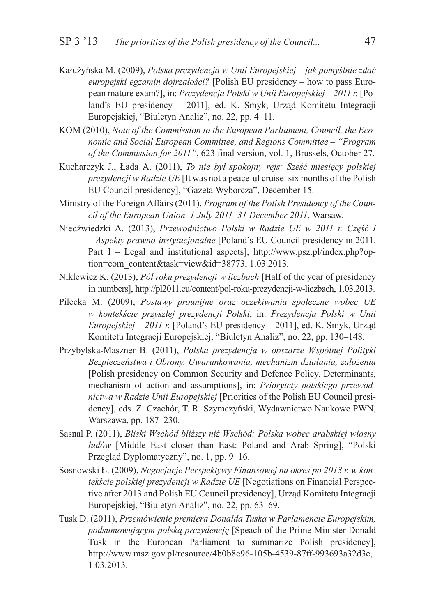- Kałużyńska M. (2009), *Polska prezydencja w Unii Europejskiej jak pomyślnie zdać europejski egzamin dojrzałości?* [Polish EU presidency – how to pass European mature exam?], in: *Prezydencja Polski w Unii Europejskiej – 2011 r.* [Poland's EU presidency – 2011], ed. K. Smyk, Urzad Komitetu Integracji Europejskiej, "Biuletyn Analiz", no. 22, pp. 4–11.
- KOM (2010), *Note of the Commission to the European Parliament, Council, the Economic and Social European Committee, and Regions Committee – "Program of the Commission for 2011"*, 623 final version, vol. 1, Brussels, October 27.
- Kucharczyk J., Łada A. (2011), *To nie był spokojny rejs: Sześć miesięcy polskiej prezydencji w Radzie UE* [It was not a peaceful cruise: six months of the Polish EU Council presidency], "Gazeta Wyborcza", December 15.
- Ministry of the Foreign Affairs (2011), *Program of the Polish Presidency of the Council of the European Union. 1 July 2011–31 December 2011*, Warsaw.
- Niedźwiedzki A. (2013), Przewodnictwo Polski w Radzie UE w 2011 r. Część I *– Aspekty prawno-instytucjonalne* [Poland's EU Council presidency in 2011. Part I – Legal and institutional aspects], http://www.psz.pl/index.php?option=com\_content&task=view&id=38773, 1.03.2013*.*
- Niklewicz K. (2013), *Pó³ roku prezydencji w liczbach* [Half of the year of presidency in numbers], http://pl2011.eu/content/pol-roku-prezydencji-w-liczbach, 1.03.2013.
- Pilecka M. (2009), *Postawy prounijne oraz oczekiwania społeczne wobec UE w kontekœcie przysz³ej prezydencji Polski*, in: *Prezydencja Polski w Unii Europejskiej – 2011 r.* [Poland's EU presidency – 2011], ed. K. Smyk, Urzad Komitetu Integracji Europejskiej, "Biuletyn Analiz", no. 22, pp. 130–148.
- Przybylska-Maszner B. (2011), *Polska prezydencja w obszarze Wspólnej Polityki Bezpieczeñstwa i Obrony. Uwarunkowania, mechanizm dzia³ania, za³o¿enia* [Polish presidency on Common Security and Defence Policy. Determinants, mechanism of action and assumptions], in: *Priorytety polskiego przewodnictwa w Radzie Unii Europejskiej* [Priorities of the Polish EU Council presidency], eds. Z. Czachór, T. R. Szymczyñski, Wydawnictwo Naukowe PWN, Warszawa, pp. 187–230.
- Sasnal P. (2011), *Bliski Wschód bli¿szy ni¿ Wschód: Polska wobec arabskiej wiosny ludów* [Middle East closer than East: Poland and Arab Spring], "Polski Przegląd Dyplomatyczny", no. 1, pp. 9–16.
- Sosnowski £. (2009), *Negocjacje Perspektywy Finansowej na okres po 2013 r. w kontekście polskiej prezydencji w Radzie UE* [Negotiations on Financial Perspective after 2013 and Polish EU Council presidency], Urząd Komitetu Integracji Europejskiej, "Biuletyn Analiz", no. 22, pp. 63–69.
- Tusk D. (2011), *Przemówienie premiera Donalda Tuska w Parlamencie Europejskim, podsumowującym polską prezydencję* [Speach of the Prime Minister Donald Tusk in the European Parliament to summarize Polish presidency], http://www.msz.gov.pl/resource/4b0b8e96-105b-4539-87ff-993693a32d3e, 1.03.2013.